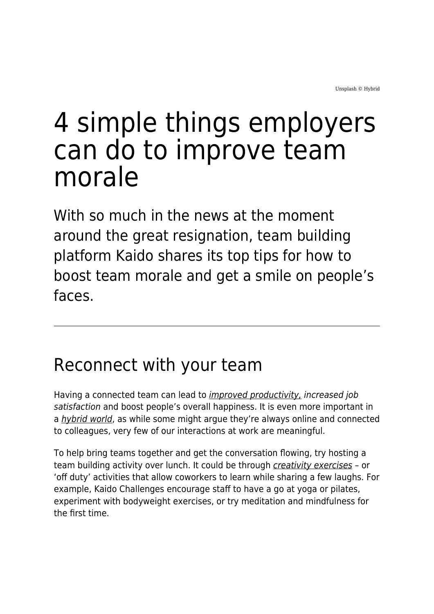# 4 simple things employers can do to improve team morale

With so much in the news at the moment around the great resignation, team building platform Kaido shares its top tips for how to boost team morale and get a smile on people's faces.

### Reconnect with your team

Having a connected team can lead to [improved productivity,](https://hbr.org/2019/12/the-value-of-belonging-at-work) increased job satisfaction and boost people's overall happiness. It is even more important in a [hybrid world](https://www.maddyness.com/uk/2022/02/28/how-can-creativity-fix-a-broken-workforce-in-the-new-era-of-hybrid-working/), as while some might argue they're always online and connected to colleagues, very few of our interactions at work are meaningful.

To help bring teams together and get the conversation flowing, try hosting a team building activity over lunch. It could be through [creativity exercises](https://www.indeed.com/career-advice/career-development/creativity-exercise) – or 'off duty' activities that allow coworkers to learn while sharing a few laughs. For example, Kaido Challenges encourage staff to have a go at yoga or pilates, experiment with bodyweight exercises, or try meditation and mindfulness for the first time.